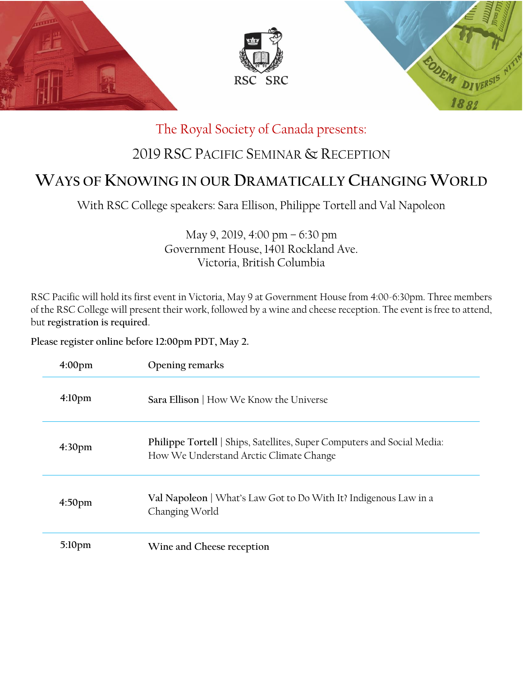

# The Royal Society of Canada presents:

# 2019 RSC PACIFIC SEMINAR & RECEPTION

# **WAYS OF KNOWING IN OUR DRAMATICALLY CHANGING WORLD**

With RSC College speakers: Sara Ellison, Philippe Tortell and Val Napoleon

May 9, 2019, 4:00 pm – 6:30 pm Government House, 1401 Rockland Ave. Victoria, British Columbia

RSC Pacific will hold its first event in Victoria, May 9 at Government House from 4:00-6:30pm. Three members of the RSC College will present their work, followed by a wine and cheese reception. The event is free to attend, but **registration is required**.

**Please register online before 12:00pm PDT, May 2.**

| 4:00 <sub>pm</sub> | Opening remarks                                                                                                    |
|--------------------|--------------------------------------------------------------------------------------------------------------------|
| 4:10 <sub>pm</sub> | Sara Ellison   How We Know the Universe                                                                            |
| 4:30 <sub>pm</sub> | Philippe Tortell   Ships, Satellites, Super Computers and Social Media:<br>How We Understand Arctic Climate Change |
| 4:50 <sub>pm</sub> | Val Napoleon   What's Law Got to Do With It? Indigenous Law in a<br>Changing World                                 |
| 5:10pm             | Wine and Cheese reception                                                                                          |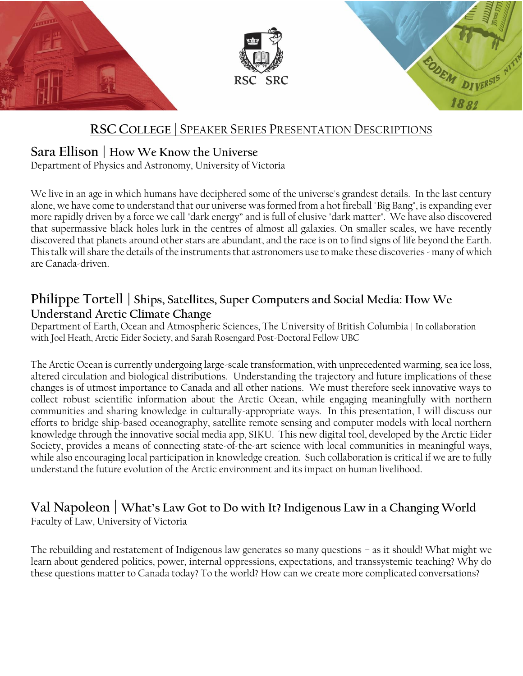

## **RSC COLLEGE |** SPEAKER SERIES PRESENTATION DESCRIPTIONS

### **Sara Ellison | How We Know the Universe**

Department of Physics and Astronomy, University of Victoria

We live in an age in which humans have deciphered some of the universe's grandest details. In the last century alone, we have come to understand that our universe was formed from a hot fireball "Big Bang", is expanding ever more rapidly driven by a force we call "dark energy" and is full of elusive "dark matter". We have also discovered that supermassive black holes lurk in the centres of almost all galaxies. On smaller scales, we have recently discovered that planets around other stars are abundant, and the race is on to find signs of life beyond the Earth. This talk will share the details of the instruments that astronomers use to make these discoveries - many of which are Canada-driven.

## **Philippe Tortell | Ships, Satellites, Super Computers and Social Media: How We Understand Arctic Climate Change**

Department of Earth, Ocean and Atmospheric Sciences, The University of British Columbia | In collaboration with Joel Heath, Arctic Eider Society, and Sarah Rosengard Post-Doctoral Fellow UBC

The Arctic Ocean is currently undergoing large-scale transformation, with unprecedented warming, sea ice loss, altered circulation and biological distributions. Understanding the trajectory and future implications of these changes is of utmost importance to Canada and all other nations. We must therefore seek innovative ways to collect robust scientific information about the Arctic Ocean, while engaging meaningfully with northern communities and sharing knowledge in culturally-appropriate ways. In this presentation, I will discuss our efforts to bridge ship-based oceanography, satellite remote sensing and computer models with local northern knowledge through the innovative social media app, SIKU. This new digital tool, developed by the Arctic Eider Society, provides a means of connecting state-of-the-art science with local communities in meaningful ways, while also encouraging local participation in knowledge creation. Such collaboration is critical if we are to fully understand the future evolution of the Arctic environment and its impact on human livelihood.

#### **Val Napoleon | What's Law Got to Do with It? Indigenous Law in a Changing World** Faculty of Law, University of Victoria

The rebuilding and restatement of Indigenous law generates so many questions – as it should! What might we learn about gendered politics, power, internal oppressions, expectations, and transsystemic teaching? Why do these questions matter to Canada today? To the world? How can we create more complicated conversations?